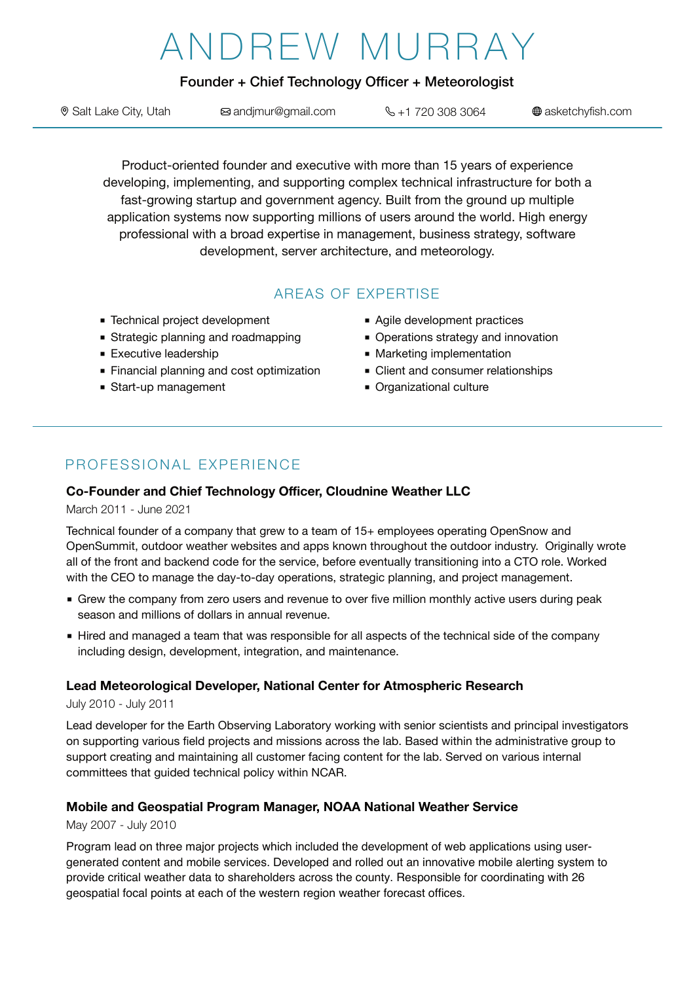# ANDREW MURRAY

## Founder + Chief Technology Officer + Meteorologist

| Salt Lake City, Utah | ⊠ andjmur@gmail.com | $\% + 17203083064$ | ⊕ asketchyfish.com |
|----------------------|---------------------|--------------------|--------------------|
|----------------------|---------------------|--------------------|--------------------|

Product-oriented founder and executive with more than 15 years of experience developing, implementing, and supporting complex technical infrastructure for both a fast-growing startup and government agency. Built from the ground up multiple application systems now supporting millions of users around the world. High energy professional with a broad expertise in management, business strategy, software development, server architecture, and meteorology.

# AREAS OF EXPERTISE

- Technical project development
- Strategic planning and roadmapping
- Executive leadership
- Financial planning and cost optimization
- Start-up management
- Agile development practices
- Operations strategy and innovation
- Marketing implementation
- Client and consumer relationships
- Organizational culture

# PROFESSIONAL EXPERIENCE

#### **Co-Founder and Chief Technology Officer, Cloudnine Weather LLC**

#### March 2011 - June 2021

Technical founder of a company that grew to a team of 15+ employees operating OpenSnow and OpenSummit, outdoor weather websites and apps known throughout the outdoor industry. Originally wrote all of the front and backend code for the service, before eventually transitioning into a CTO role. Worked with the CEO to manage the day-to-day operations, strategic planning, and project management.

- Grew the company from zero users and revenue to over five million monthly active users during peak season and millions of dollars in annual revenue.
- Hired and managed a team that was responsible for all aspects of the technical side of the company including design, development, integration, and maintenance.

#### **Lead Meteorological Developer, National Center for Atmospheric Research**

#### July 2010 - July 2011

Lead developer for the Earth Observing Laboratory working with senior scientists and principal investigators on supporting various field projects and missions across the lab. Based within the administrative group to support creating and maintaining all customer facing content for the lab. Served on various internal committees that guided technical policy within NCAR.

#### **Mobile and Geospatial Program Manager, NOAA National Weather Service**

#### May 2007 - July 2010

Program lead on three major projects which included the development of web applications using usergenerated content and mobile services. Developed and rolled out an innovative mobile alerting system to provide critical weather data to shareholders across the county. Responsible for coordinating with 26 geospatial focal points at each of the western region weather forecast offices.